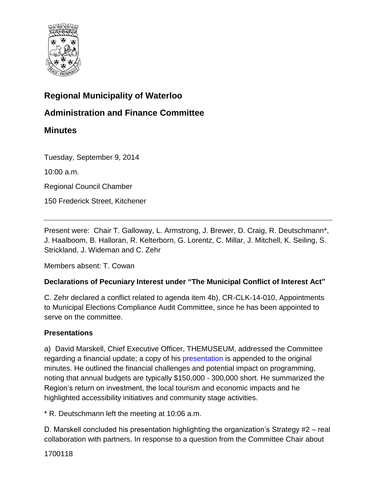

### **Regional Municipality of Waterloo**

**Administration and Finance Committee** 

### **Minutes**

Tuesday, September 9, 2014

10:00 a.m.

Regional Council Chamber

150 Frederick Street, Kitchener

Present were: Chair T. Galloway, L. Armstrong, J. Brewer, D. Craig, R. Deutschmann\*, J. Haalboom, B. Halloran, R. Kelterborn, G. Lorentz, C. Millar, J. Mitchell, K. Seiling, S. Strickland, J. Wideman and C. Zehr

Members absent: T. Cowan

#### **Declarations of Pecuniary Interest under "The Municipal Conflict of Interest Act"**

C. Zehr declared a conflict related to agenda item 4b), CR-CLK-14-010, Appointments to Municipal Elections Compliance Audit Committee, since he has been appointed to serve on the committee.

#### **Presentations**

a) David Marskell, Chief Executive Officer, THEMUSEUM, addressed the Committee regarding a financial update; a copy of hi[s presentation i](#page-4-0)s appended to the original minutes. He outlined the financial challenges and potential impact on programming, noting that annual budgets are typically \$150,000 - 300,000 short. He summarized the Region's return on investment, the local tourism and economic impacts and he highlighted accessibility initiatives and community stage activities.

\* R. Deutschmann left the meeting at 10:06 a.m.

D. Marskell concluded his presentation highlighting the organization's Strategy #2 – real collaboration with partners. In response to a question from the Committee Chair about

1700118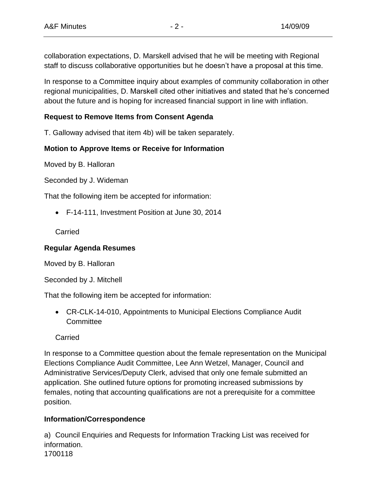collaboration expectations, D. Marskell advised that he will be meeting with Regional staff to discuss collaborative opportunities but he doesn't have a proposal at this time.

In response to a Committee inquiry about examples of community collaboration in other regional municipalities, D. Marskell cited other initiatives and stated that he's concerned about the future and is hoping for increased financial support in line with inflation.

### **Request to Remove Items from Consent Agenda**

T. Galloway advised that item 4b) will be taken separately.

### **Motion to Approve Items or Receive for Information**

Moved by B. Halloran

Seconded by J. Wideman

That the following item be accepted for information:

F-14-111, Investment Position at June 30, 2014

Carried

### **Regular Agenda Resumes**

Moved by B. Halloran

Seconded by J. Mitchell

That the following item be accepted for information:

 CR-CLK-14-010, Appointments to Municipal Elections Compliance Audit **Committee** 

**Carried** 

In response to a Committee question about the female representation on the Municipal Elections Compliance Audit Committee, Lee Ann Wetzel, Manager, Council and Administrative Services/Deputy Clerk, advised that only one female submitted an application. She outlined future options for promoting increased submissions by females, noting that accounting qualifications are not a prerequisite for a committee position.

### **Information/Correspondence**

1700118 a) Council Enquiries and Requests for Information Tracking List was received for information.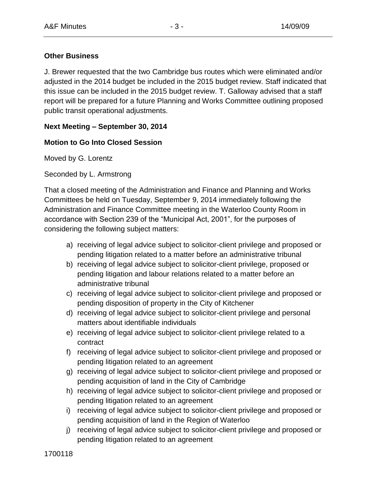#### **Other Business**

J. Brewer requested that the two Cambridge bus routes which were eliminated and/or adjusted in the 2014 budget be included in the 2015 budget review. Staff indicated that this issue can be included in the 2015 budget review. T. Galloway advised that a staff report will be prepared for a future Planning and Works Committee outlining proposed public transit operational adjustments.

### **Next Meeting – September 30, 2014**

### **Motion to Go Into Closed Session**

Moved by G. Lorentz

Seconded by L. Armstrong

That a closed meeting of the Administration and Finance and Planning and Works Committees be held on Tuesday, September 9, 2014 immediately following the Administration and Finance Committee meeting in the Waterloo County Room in accordance with Section 239 of the "Municipal Act, 2001", for the purposes of considering the following subject matters:

- a) receiving of legal advice subject to solicitor-client privilege and proposed or pending litigation related to a matter before an administrative tribunal
- b) receiving of legal advice subject to solicitor-client privilege, proposed or pending litigation and labour relations related to a matter before an administrative tribunal
- c) receiving of legal advice subject to solicitor-client privilege and proposed or pending disposition of property in the City of Kitchener
- d) receiving of legal advice subject to solicitor-client privilege and personal matters about identifiable individuals
- e) receiving of legal advice subject to solicitor-client privilege related to a contract
- f) receiving of legal advice subject to solicitor-client privilege and proposed or pending litigation related to an agreement
- g) receiving of legal advice subject to solicitor-client privilege and proposed or pending acquisition of land in the City of Cambridge
- h) receiving of legal advice subject to solicitor-client privilege and proposed or pending litigation related to an agreement
- i) receiving of legal advice subject to solicitor-client privilege and proposed or pending acquisition of land in the Region of Waterloo
- j) receiving of legal advice subject to solicitor-client privilege and proposed or pending litigation related to an agreement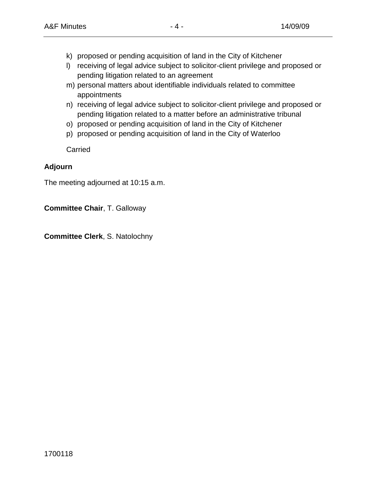- k) proposed or pending acquisition of land in the City of Kitchener
- l) receiving of legal advice subject to solicitor-client privilege and proposed or pending litigation related to an agreement
- m) personal matters about identifiable individuals related to committee appointments
- n) receiving of legal advice subject to solicitor-client privilege and proposed or pending litigation related to a matter before an administrative tribunal
- o) proposed or pending acquisition of land in the City of Kitchener
- p) proposed or pending acquisition of land in the City of Waterloo

Carried

#### **Adjourn**

The meeting adjourned at 10:15 a.m.

**Committee Chair**, T. Galloway

**Committee Clerk**, S. Natolochny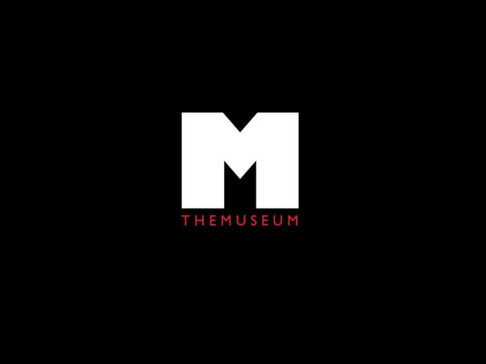<span id="page-4-0"></span>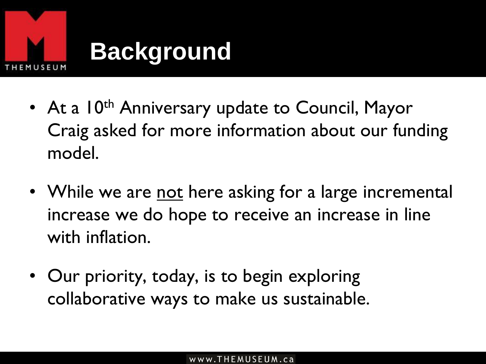

### **Background**

- At a 10<sup>th</sup> Anniversary update to Council, Mayor Craig asked for more information about our funding model.
- While we are not here asking for a large incremental increase we do hope to receive an increase in line with inflation.
- Our priority, today, is to begin exploring collaborative ways to make us sustainable.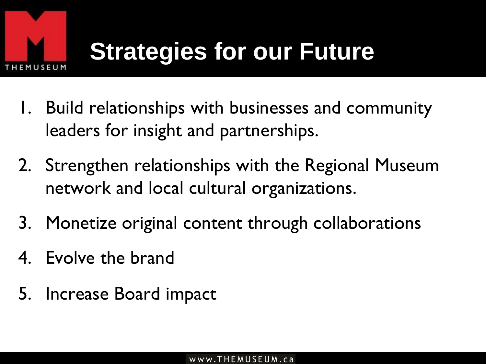

- 1. Build relationships with businesses and community leaders for insight and partnerships.
- 2. Strengthen relationships with the Regional Museum network and local cultural organizations.
- 3. Monetize original content through collaborations
- 4. Evolve the brand
- 5. Increase Board impact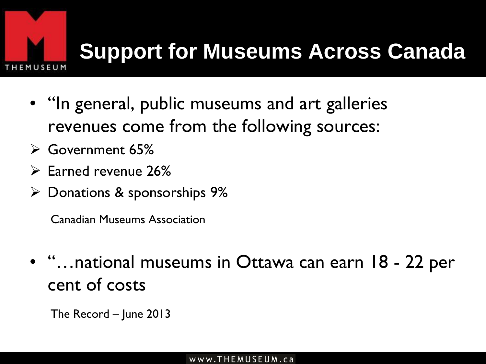

### **Support for Museums Across Canada**

- "In general, public museums and art galleries revenues come from the following sources:
- Government 65%
- $\triangleright$  Earned revenue 26%
- $\triangleright$  Donations & sponsorships 9%

Canadian Museums Association

- "…national museums in Ottawa can earn 18 22 per cent of costs
	- The Record June 2013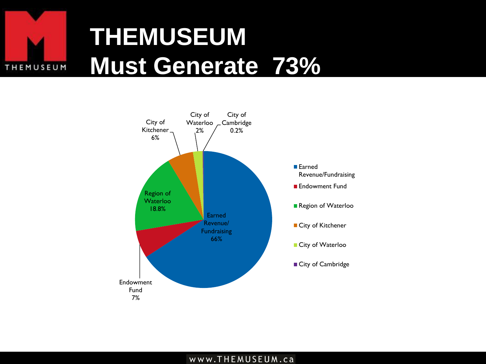

## **THEMUSEUM Must Generate 73%**



#### www.THEMUSEUM.ca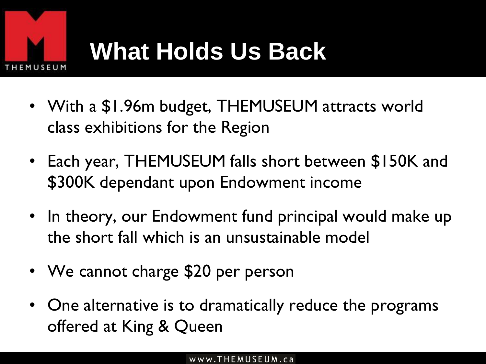

## **What Holds Us Back**

- With a \$1.96m budget, THEMUSEUM attracts world class exhibitions for the Region
- Each year, THEMUSEUM falls short between \$150K and \$300K dependant upon Endowment income
- In theory, our Endowment fund principal would make up the short fall which is an unsustainable model
- We cannot charge \$20 per person
- One alternative is to dramatically reduce the programs offered at King & Queen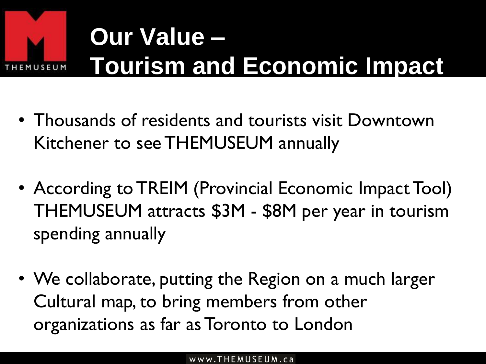

# **Our Value – Tourism and Economic Impact**

- Thousands of residents and tourists visit Downtown Kitchener to see THEMUSEUM annually
- According to TREIM (Provincial Economic Impact Tool) THEMUSEUM attracts \$3M - \$8M per year in tourism spending annually
- We collaborate, putting the Region on a much larger Cultural map, to bring members from other organizations as far as Toronto to London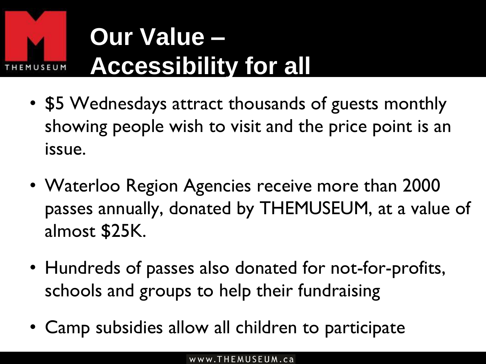

## **Our Value – Accessibility for all**

- \$5 Wednesdays attract thousands of guests monthly showing people wish to visit and the price point is an issue.
- Waterloo Region Agencies receive more than 2000 passes annually, donated by THEMUSEUM, at a value of almost \$25K.
- Hundreds of passes also donated for not-for-profits, schools and groups to help their fundraising
- Camp subsidies allow all children to participate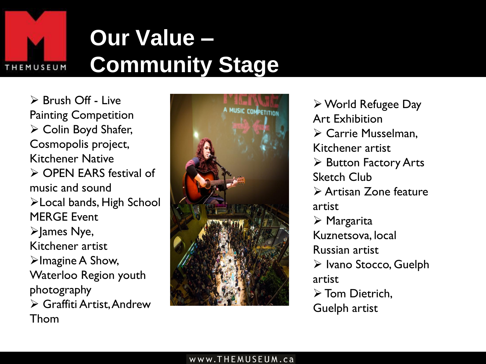

### **Our Value – Community Stage**

 $\triangleright$  Brush Off - Live Painting Competition  $\triangleright$  Colin Boyd Shafer, Cosmopolis project, Kitchener Native OPEN EARS festival of music and sound Local bands, High School MERGE Event  $\blacktriangleright$  ames Nye, Kitchener artist  $\triangleright$ Imagine A Show, Waterloo Region youth photography Graffiti Artist, Andrew Thom



World Refugee Day Art Exhibition Carrie Musselman, Kitchener artist  $\triangleright$  Button Factory Arts Sketch Club Artisan Zone feature artist Margarita Kuznetsova, local Russian artist  $\triangleright$  Ivano Stocco, Guelph artist > Tom Dietrich. Guelph artist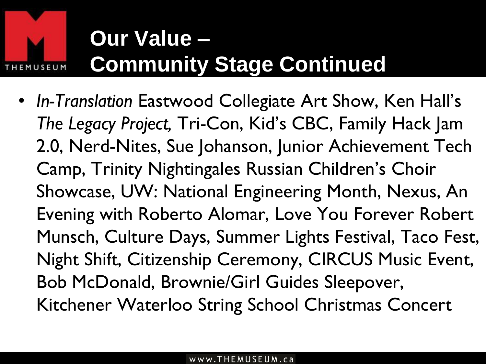

### **Our Value – Community Stage Continued**

• *In-Translation* Eastwood Collegiate Art Show, Ken Hall's *The Legacy Project,* Tri-Con, Kid's CBC, Family Hack Jam 2.0, Nerd-Nites, Sue Johanson, Junior Achievement Tech Camp, Trinity Nightingales Russian Children's Choir Showcase, UW: National Engineering Month, Nexus, An Evening with Roberto Alomar, Love You Forever Robert Munsch, Culture Days, Summer Lights Festival, Taco Fest, Night Shift, Citizenship Ceremony, CIRCUS Music Event, Bob McDonald, Brownie/Girl Guides Sleepover, Kitchener Waterloo String School Christmas Concert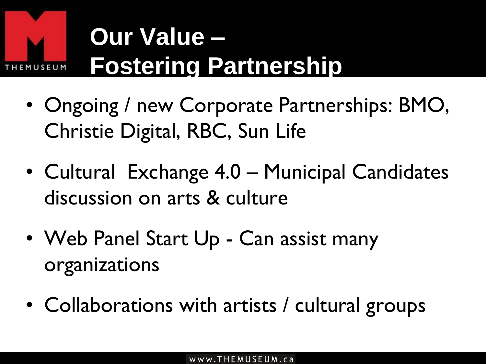

# **Our Value – Fostering Partnership**

- Ongoing / new Corporate Partnerships: BMO, Christie Digital, RBC, Sun Life
- Cultural Exchange 4.0 Municipal Candidates discussion on arts & culture
- Web Panel Start Up Can assist many organizations
- Collaborations with artists / cultural groups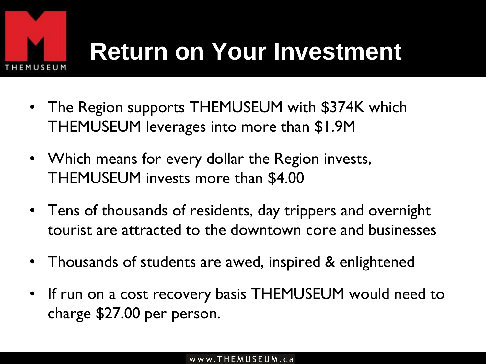

## **Return on Your Investment**

- The Region supports THEMUSEUM with \$374K which THEMUSEUM leverages into more than \$1.9M
- Which means for every dollar the Region invests, THEMUSEUM invests more than \$4.00
- Tens of thousands of residents, day trippers and overnight tourist are attracted to the downtown core and businesses
- Thousands of students are awed, inspired & enlightened
- If run on a cost recovery basis THEMUSEUM would need to charge \$27.00 per person.